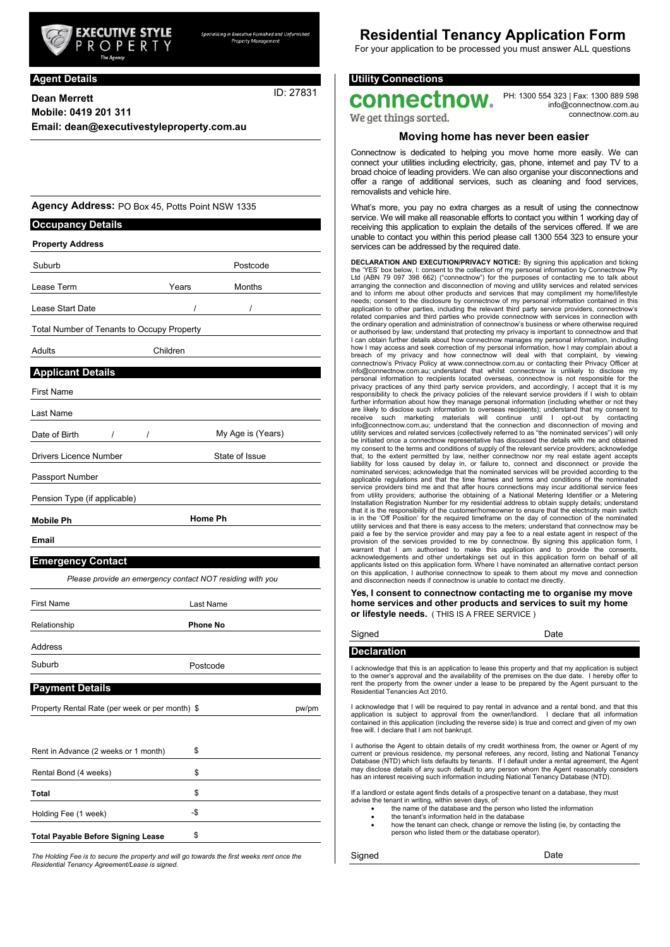

e Furnished and Unfu

**Agent Details**

ID: 27831

**Dean Merrett Mobile: 0419 201 311 Email: dean@executivestyleproperty.com.au**

**Agency Address:** PO Box 45, Potts Point NSW 1335

| <b>Occupancy Details</b>                                  |                 |                   |
|-----------------------------------------------------------|-----------------|-------------------|
| <b>Property Address</b>                                   |                 |                   |
| Suburb                                                    |                 | Postcode          |
| Lease Term                                                | Years           | Months            |
| Lease Start Date                                          | Ι               | Ι                 |
| Total Number of Tenants to Occupy Property                |                 |                   |
| Adults                                                    | Children        |                   |
| <b>Applicant Details</b>                                  |                 |                   |
| <b>First Name</b>                                         |                 |                   |
| Last Name                                                 |                 |                   |
| Date of Birth<br>$\prime$<br>I                            |                 | My Age is (Years) |
| <b>Drivers Licence Number</b>                             |                 | State of Issue    |
| Passport Number                                           |                 |                   |
| Pension Type (if applicable)                              |                 |                   |
| <b>Mobile Ph</b>                                          | <b>Home Ph</b>  |                   |
| <b>Email</b>                                              |                 |                   |
| <b>Emergency Contact</b>                                  |                 |                   |
| Please provide an emergency contact NOT residing with you |                 |                   |
| <b>First Name</b>                                         | Last Name       |                   |
| Relationship                                              | <b>Phone No</b> |                   |
| Address                                                   |                 |                   |
| Suburb                                                    | Postcode        |                   |
| <b>Payment Details</b>                                    |                 |                   |
| Property Rental Rate (per week or per month) \$           |                 | pw/pm             |
|                                                           |                 |                   |
| Rent in Advance (2 weeks or 1 month)                      | \$              |                   |
| Rental Bond (4 weeks)                                     | \$              |                   |
| Total                                                     | \$              |                   |
| Holding Fee (1 week)                                      | -\$             |                   |

*The Holding Fee is to secure the property and will go towards the first weeks rent once the Residential Tenancy Agreement/Lease is signed.*

**Total Payable Before Signing Lease**

\$

# **Residential Tenancy Application Form**

For your application to be processed you must answer ALL questions

## **Utility Connections**

connectnow.

PH: 1300 554 323 | Fax: 1300 889 598 [info@connectnow.com.au](mailto:info@connectnow.com.au) connectnow.com.au

We get things sorted.

#### **Moving home has never been easier**

Connectnow is dedicated to helping you move home more easily. We can connect your utilities including electricity, gas, phone, internet and pay TV to a broad choice of leading providers. We can also organise your disconnections and offer a range of additional services, such as cleaning and food services, removalists and vehicle hire.

What's more, you pay no extra charges as a result of using the connectnow service. We will make all reasonable efforts to contact you within 1 working day of receiving this application to explain the details of the services offered. If we are unable to contact you within this period please call 1300 554 323 to ensure your services can be addressed by the required date.

**DECLARATION AND EXECUTION/PRIVACY NOTICE:** By signing this application and ticking the 'YES' box below, I: consent to the collection of my personal information by Connectnow Pty Ltd (ABN 79 097 398 662) ("connectnow") for the purposes of contacting me to talk about arranging the connection and disconnection of moving and utility services and related services and to inform me about other products and services that may compliment my home/lifestyle needs; consent to the disclosure by connectnow of my personal information contained in this<br>application to other parties, including the relevant third party service providers, connectnow's<br>related companies and third parti the ordinary operation and administration of connectnow's business or where otherwise required or authorised by law; understand that protecting my privacy is important to connectnow and that I can obtain further details about how connectnow manages my personal information, including how I may access and seek correction of my personal information, how I may complain about a breach of my privacy and how connectnow will deal with that complaint, by viewing connectnow's Privacy Policy at [www.connectnow.com.au o](http://www.connectnow.com.au/)r contacting their Privacy Officer at [info@connectnow.com.au;](mailto:info@connectnow.com.au) understand that whilst connectnow is unlikely to disclose my personal information to recipients located overseas, connectnow is not responsible for the privacy practices of any third party service providers, and accordingly, I accept that it is my responsibility to check the privacy policies of the relevant service providers if I wish to obtain further information about how they manage personal information (including whether or not they<br>are likely to disclose such information to overseas recipients); understand that my consert to<br>receive such marketing materials be initiated once a connectnow representative has discussed the details with me and obtained my consent to the terms and conditions of supply of the relevant service providers; acknowledge that, to the extent permitted by law, neither connectnow nor my real estate agent accepts liability for loss caused by delay in, or failure to, connect and disconnect or provide the nominated services; acknowledge that the nominated services will be provided according to the applicable regulations and that the time frames and terms and conditions of the nominated service providers bind me and that after hours connections may incur additional service fees<br>from utility providers; authorise the obtaining of a National Metering Identifier or a Metering<br>Installation Registration Number that it is the responsibility of the customer/homeowner to ensure that the electricity main switch is in the 'Off Position' for the required timeframe on the day of connection of the nominated utility services and that there is easy access to the meters; understand that connectnow may be paid a fee by the service provider and may pay a fee to a real estate agent in respect of the provision of the services provided to me by connectnow. By signing this application form, I warrant that I am authorised to make this application and to provide the consents, acknowledgements and other undertakings set out in this application form on behalf of all applicants listed on this application form. Where I have nominated an alternative contact person on this application, I authorise connectnow to speak to them about my move and connection and disconnection needs if connection is unable to contact me directly.

**Yes, I consent to connectnow contacting me to organise my move home services and other products and services to suit my home or lifestyle needs.** ( THIS IS A FREE SERVICE )

# **Declaration**

Signed Date

I acknowledge that this is an application to lease this property and that my application is subject to the owner's approval and the availability of the premises on the due date. I hereby offer to rent the property from the owner under a lease to be prepared by the Agent pursuant to the Residential Tenancies Act 2010.

I acknowledge that I will be required to pay rental in advance and a rental bond, and that this application is subject to approval from the owner/landlord. I declare that all information contained in this application (including the reverse side) is true and correct and given of my own free will. I declare that I am not bankrupt.

I authorise the Agent to obtain details of my credit worthiness from, the owner or Agent of my current or previous residence, my personal referees, any record, listing and National Tenancy Database (NTD) which lists defaults by tenants. If I default under a rental agreement, the Agent may disclose details of any such default to any person whom the Agent reasonably considers has an interest receiving such information including National Tenancy Database (NTD).

If a landlord or estate agent finds details of a prospective tenant on a database, they must

- advise the tenant in writing, within seven days, of: the name of the database and the person who listed the information
	- the tenant's information held in the database
	- how the tenant can check, change or remove the listing (ie, by contacting the person who listed them or the database operator).

Signed Date